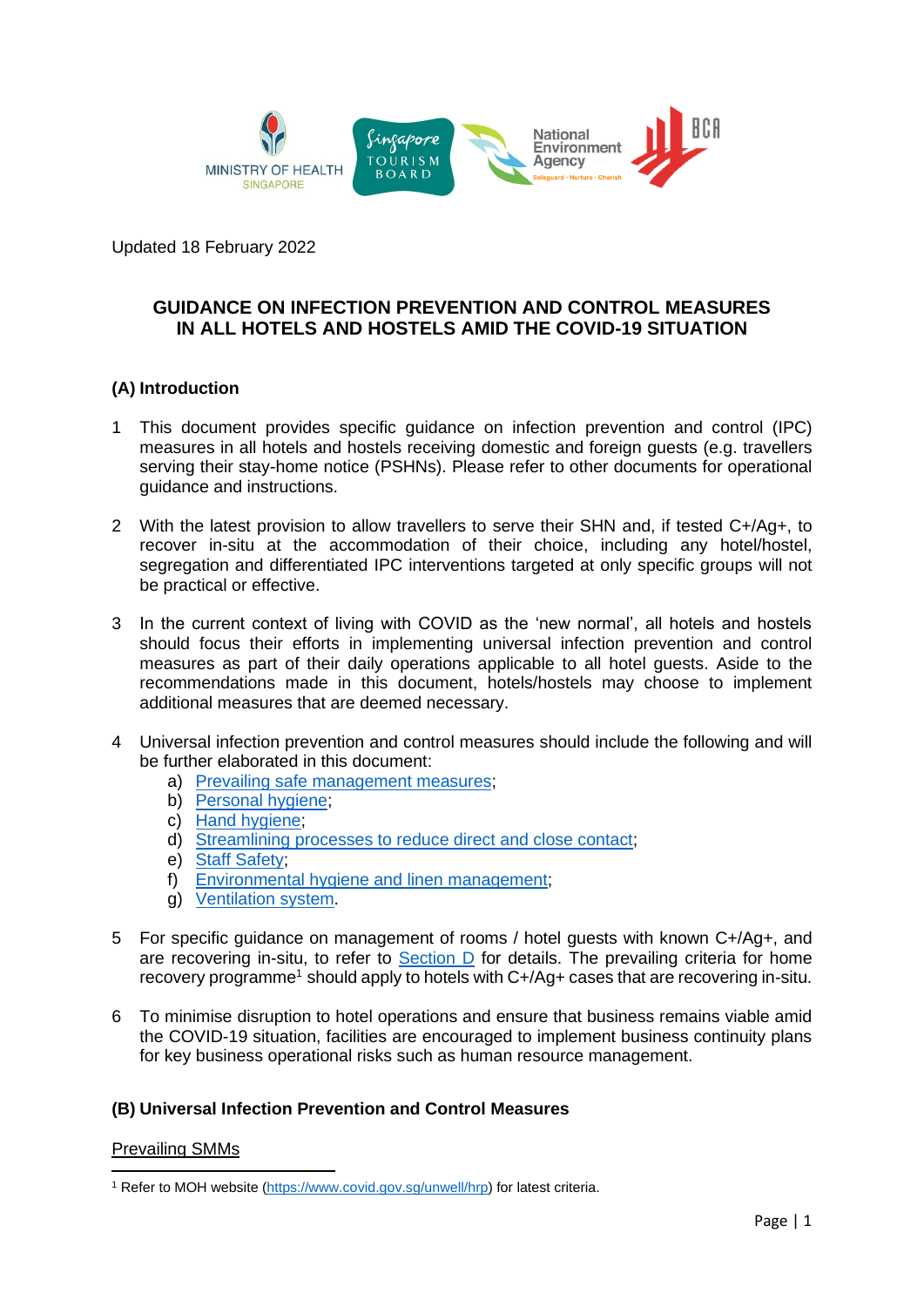

Updated 18 February 2022

# **GUIDANCE ON INFECTION PREVENTION AND CONTROL MEASURES IN ALL HOTELS AND HOSTELS AMID THE COVID-19 SITUATION**

# **(A) Introduction**

- 1 This document provides specific guidance on infection prevention and control (IPC) measures in all hotels and hostels receiving domestic and foreign guests (e.g. travellers serving their stay-home notice (PSHNs). Please refer to other documents for operational guidance and instructions.
- 2 With the latest provision to allow travellers to serve their SHN and, if tested  $C+/(Aq+1)$ , to recover in-situ at the accommodation of their choice, including any hotel/hostel, segregation and differentiated IPC interventions targeted at only specific groups will not be practical or effective.
- 3 In the current context of living with COVID as the 'new normal', all hotels and hostels should focus their efforts in implementing universal infection prevention and control measures as part of their daily operations applicable to all hotel guests. Aside to the recommendations made in this document, hotels/hostels may choose to implement additional measures that are deemed necessary.
- 4 Universal infection prevention and control measures should include the following and will be further elaborated in this document:
	- a) [Prevailing safe management measures;](#page-0-0)
	- b) [Personal hygiene;](#page-1-0)
	- c) [Hand hygiene;](#page-1-1)
	- d) [Streamlining processes to reduce direct and close contact;](#page-1-2)
	- e) [Staff Safety;](#page-2-0)
	- f) [Environmental hygiene and linen management;](#page-2-1)
	- g) [Ventilation system.](#page-3-0)
- 5 For specific guidance on management of rooms / hotel guests with known C+/Ag+, and are recovering in-situ, to refer to Section  $D$  for details. The prevailing criteria for home recovery programme<sup>1</sup> should apply to hotels with C+/Ag+ cases that are recovering in-situ.
- 6 To minimise disruption to hotel operations and ensure that business remains viable amid the COVID-19 situation, facilities are encouraged to implement business continuity plans for key business operational risks such as human resource management.

# **(B) Universal Infection Prevention and Control Measures**

#### <span id="page-0-0"></span>Prevailing SMMs

<sup>&</sup>lt;sup>1</sup> Refer to MOH website [\(https://www.covid.gov.sg/unwell/hrp\)](https://www.covid.gov.sg/unwell/hrp) for latest criteria.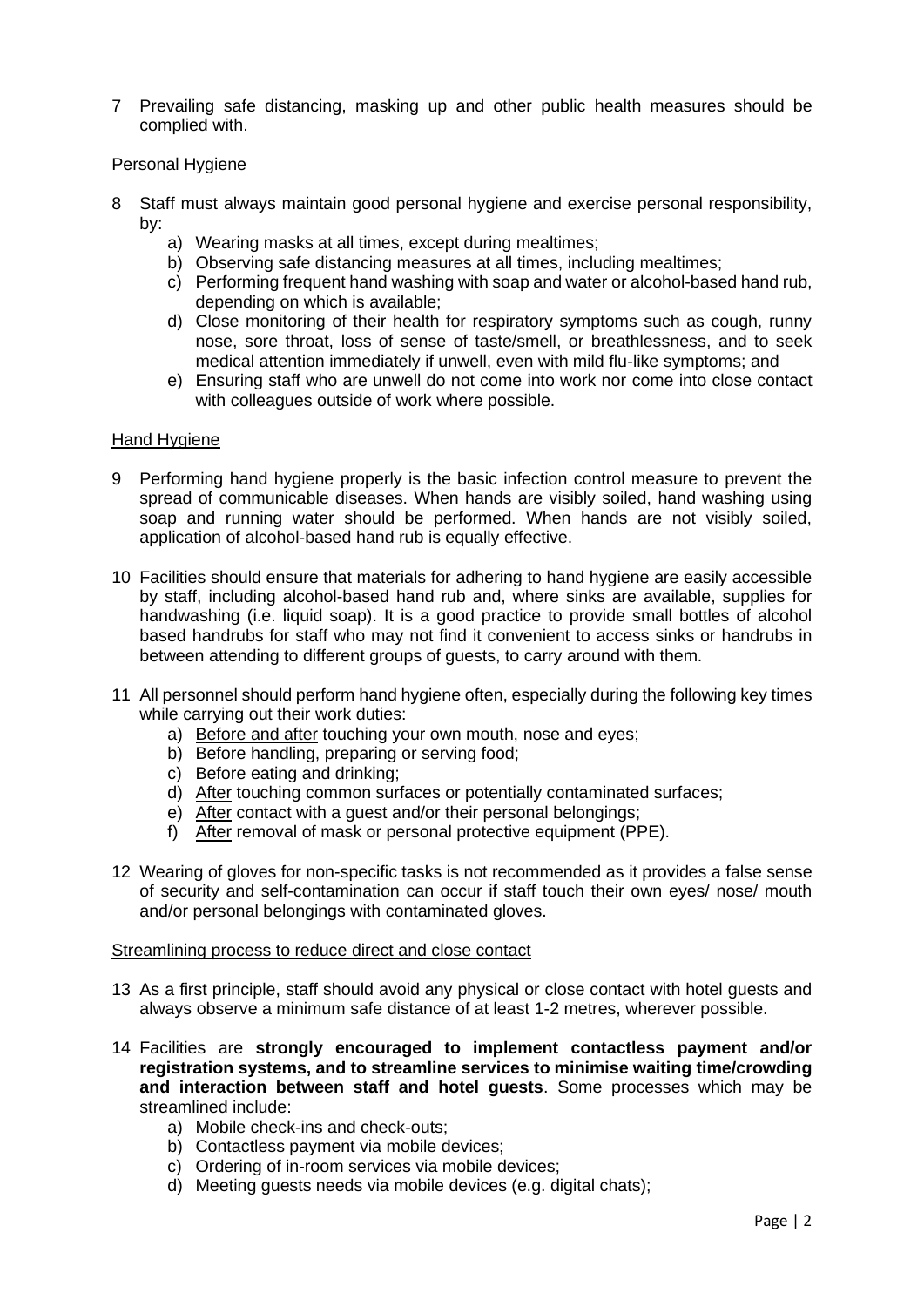7 Prevailing safe distancing, masking up and other public health measures should be complied with.

## <span id="page-1-0"></span>Personal Hygiene

- 8 Staff must always maintain good personal hygiene and exercise personal responsibility, by:
	- a) Wearing masks at all times, except during mealtimes;
	- b) Observing safe distancing measures at all times, including mealtimes;
	- c) Performing frequent hand washing with soap and water or alcohol-based hand rub, depending on which is available;
	- d) Close monitoring of their health for respiratory symptoms such as cough, runny nose, sore throat, loss of sense of taste/smell, or breathlessness, and to seek medical attention immediately if unwell, even with mild flu-like symptoms; and
	- e) Ensuring staff who are unwell do not come into work nor come into close contact with colleagues outside of work where possible.

#### <span id="page-1-1"></span>Hand Hygiene

- 9 Performing hand hygiene properly is the basic infection control measure to prevent the spread of communicable diseases. When hands are visibly soiled, hand washing using soap and running water should be performed. When hands are not visibly soiled, application of alcohol-based hand rub is equally effective.
- 10 Facilities should ensure that materials for adhering to hand hygiene are easily accessible by staff, including alcohol-based hand rub and, where sinks are available, supplies for handwashing (i.e. liquid soap). It is a good practice to provide small bottles of alcohol based handrubs for staff who may not find it convenient to access sinks or handrubs in between attending to different groups of quests, to carry around with them.
- 11 All personnel should perform hand hygiene often, especially during the following key times while carrying out their work duties:
	- a) Before and after touching your own mouth, nose and eyes;
	- b) Before handling, preparing or serving food;
	- c) Before eating and drinking;
	- d) After touching common surfaces or potentially contaminated surfaces;
	- e) After contact with a guest and/or their personal belongings;
	- f) After removal of mask or personal protective equipment (PPE).
- 12 Wearing of gloves for non-specific tasks is not recommended as it provides a false sense of security and self-contamination can occur if staff touch their own eyes/ nose/ mouth and/or personal belongings with contaminated gloves.

#### <span id="page-1-2"></span>Streamlining process to reduce direct and close contact

- 13 As a first principle, staff should avoid any physical or close contact with hotel guests and always observe a minimum safe distance of at least 1-2 metres, wherever possible.
- 14 Facilities are **strongly encouraged to implement contactless payment and/or registration systems, and to streamline services to minimise waiting time/crowding and interaction between staff and hotel guests**. Some processes which may be streamlined include:
	- a) Mobile check-ins and check-outs;
	- b) Contactless payment via mobile devices;
	- c) Ordering of in-room services via mobile devices;
	- d) Meeting guests needs via mobile devices (e.g. digital chats);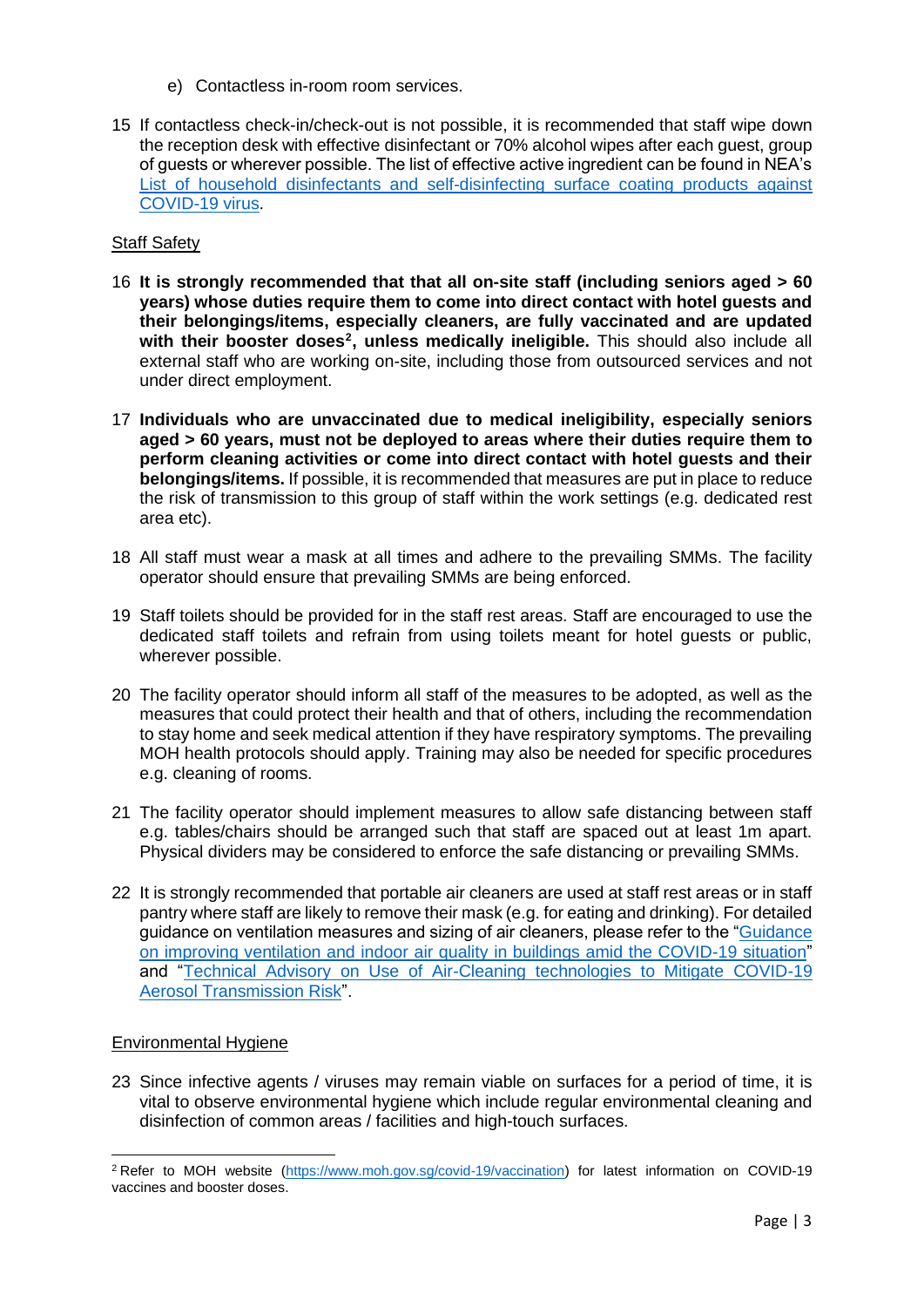- e) Contactless in-room room services.
- 15 If contactless check-in/check-out is not possible, it is recommended that staff wipe down the reception desk with effective disinfectant or 70% alcohol wipes after each guest, group of guests or wherever possible. The list of effective active ingredient can be found in NEA's [List of household disinfectants and self-disinfecting surface coating products against](https://www.nea.gov.sg/our-services/public-cleanliness/environmental-cleaning-guidelines/guidelines/list-of-household-products-and-active-ingredients-for-disinfection-of-covid-19)  [COVID-19 virus.](https://www.nea.gov.sg/our-services/public-cleanliness/environmental-cleaning-guidelines/guidelines/list-of-household-products-and-active-ingredients-for-disinfection-of-covid-19)

# <span id="page-2-0"></span>Staff Safety

- 16 **It is strongly recommended that that all on-site staff (including seniors aged > 60 years) whose duties require them to come into direct contact with hotel guests and their belongings/items, especially cleaners, are fully vaccinated and are updated**  with their booster doses<sup>2</sup>, unless medically ineligible. This should also include all external staff who are working on-site, including those from outsourced services and not under direct employment.
- 17 **Individuals who are unvaccinated due to medical ineligibility, especially seniors aged > 60 years, must not be deployed to areas where their duties require them to perform cleaning activities or come into direct contact with hotel guests and their belongings/items.** If possible, it is recommended that measures are put in place to reduce the risk of transmission to this group of staff within the work settings (e.g. dedicated rest area etc).
- 18 All staff must wear a mask at all times and adhere to the prevailing SMMs. The facility operator should ensure that prevailing SMMs are being enforced.
- 19 Staff toilets should be provided for in the staff rest areas. Staff are encouraged to use the dedicated staff toilets and refrain from using toilets meant for hotel guests or public, wherever possible.
- 20 The facility operator should inform all staff of the measures to be adopted, as well as the measures that could protect their health and that of others, including the recommendation to stay home and seek medical attention if they have respiratory symptoms. The prevailing MOH health protocols should apply. Training may also be needed for specific procedures e.g. cleaning of rooms.
- 21 The facility operator should implement measures to allow safe distancing between staff e.g. tables/chairs should be arranged such that staff are spaced out at least 1m apart. Physical dividers may be considered to enforce the safe distancing or prevailing SMMs.
- 22 It is strongly recommended that portable air cleaners are used at staff rest areas or in staff pantry where staff are likely to remove their mask (e.g. for eating and drinking). For detailed guidance on ventilation measures and sizing of air cleaners, please refer to the ["Guidance](http://www.nea.gov.sg/our-services/public-cleanliness/environmental-cleaning-guidelines/advisories/guidance-on-improving-ventilation-and-indoor-air-quality-in-buildings-amid-the-covid-19-situation)  [on improving ventilation and indoor air quality in buildings amid the COVID-19 situation"](http://www.nea.gov.sg/our-services/public-cleanliness/environmental-cleaning-guidelines/advisories/guidance-on-improving-ventilation-and-indoor-air-quality-in-buildings-amid-the-covid-19-situation) and ["Technical Advisory on Use of Air-Cleaning technologies to Mitigate COVID-19](https://www.nea.gov.sg/our-services/public-cleanliness/environmental-cleaning-guidelines/guidelines/guidance-note-on-use-of-air-cleaning-technologies-to-mitigate-covid-19-aerosol-transmission-risk)  [Aerosol Transmission Risk"](https://www.nea.gov.sg/our-services/public-cleanliness/environmental-cleaning-guidelines/guidelines/guidance-note-on-use-of-air-cleaning-technologies-to-mitigate-covid-19-aerosol-transmission-risk).

#### <span id="page-2-1"></span>Environmental Hygiene

23 Since infective agents / viruses may remain viable on surfaces for a period of time, it is vital to observe environmental hygiene which include regular environmental cleaning and disinfection of common areas / facilities and high-touch surfaces.

<sup>2</sup> Refer to MOH website [\(https://www.moh.gov.sg/covid-19/vaccination\)](https://www.moh.gov.sg/covid-19/vaccination) for latest information on COVID-19 vaccines and booster doses.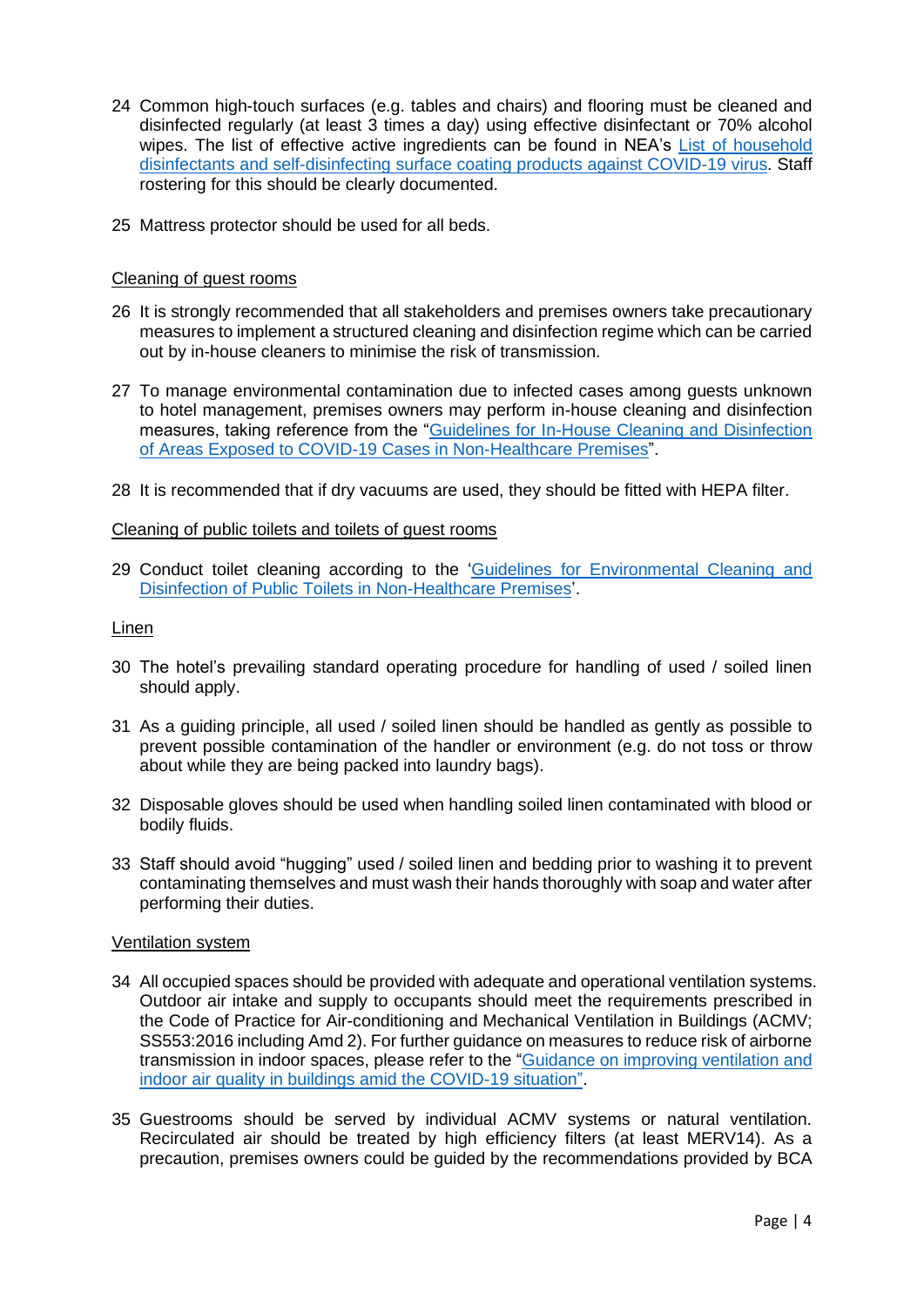- 24 Common high-touch surfaces (e.g. tables and chairs) and flooring must be cleaned and disinfected regularly (at least 3 times a day) using effective disinfectant or 70% alcohol wipes. The list of effective active ingredients can be found in NEA's [List of household](https://www.nea.gov.sg/our-services/public-cleanliness/environmental-cleaning-guidelines/guidelines/list-of-household-products-and-active-ingredients-for-disinfection-of-covid-19)  [disinfectants and self-disinfecting surface coating products against COVID-19 virus.](https://www.nea.gov.sg/our-services/public-cleanliness/environmental-cleaning-guidelines/guidelines/list-of-household-products-and-active-ingredients-for-disinfection-of-covid-19) Staff rostering for this should be clearly documented.
- 25 Mattress protector should be used for all beds.

# Cleaning of guest rooms

- 26 It is strongly recommended that all stakeholders and premises owners take precautionary measures to implement a structured cleaning and disinfection regime which can be carried out by in-house cleaners to minimise the risk of transmission.
- 27 To manage environmental contamination due to infected cases among guests unknown to hotel management, premises owners may perform in-house cleaning and disinfection measures, taking reference from the ["Guidelines for In-House Cleaning and Disinfection](https://www.nea.gov.sg/our-services/public-cleanliness/environmental-cleaning-guidelines/guidelines/guidelines-for-in-house-cleaning-and-disinfection-of-areas-exposed-to-covid-19-cases-in-non-healthcare-premises)  [of Areas Exposed to COVID-19 Cases in Non-Healthcare Premises"](https://www.nea.gov.sg/our-services/public-cleanliness/environmental-cleaning-guidelines/guidelines/guidelines-for-in-house-cleaning-and-disinfection-of-areas-exposed-to-covid-19-cases-in-non-healthcare-premises).
- 28 It is recommended that if dry vacuums are used, they should be fitted with HEPA filter.

#### Cleaning of public toilets and toilets of guest rooms

29 Conduct toilet cleaning according to the ['Guidelines for Environmental Cleaning and](https://www.nea.gov.sg/our-services/public-cleanliness/environmental-cleaning-guidelines/guidelines/guidelines-for-in-house-cleaning-and-disinfection-of-areas-exposed-to-covid-19-cases-in-non-healthcare-premises)  [Disinfection of Public Toilets in Non-Healthcare Premises'](https://www.nea.gov.sg/our-services/public-cleanliness/environmental-cleaning-guidelines/guidelines/guidelines-for-in-house-cleaning-and-disinfection-of-areas-exposed-to-covid-19-cases-in-non-healthcare-premises).

#### Linen

- 30 The hotel's prevailing standard operating procedure for handling of used / soiled linen should apply.
- 31 As a guiding principle, all used / soiled linen should be handled as gently as possible to prevent possible contamination of the handler or environment (e.g. do not toss or throw about while they are being packed into laundry bags).
- 32 Disposable gloves should be used when handling soiled linen contaminated with blood or bodily fluids.
- 33 Staff should avoid "hugging" used / soiled linen and bedding prior to washing it to prevent contaminating themselves and must wash their hands thoroughly with soap and water after performing their duties.

#### <span id="page-3-0"></span>Ventilation system

- 34 All occupied spaces should be provided with adequate and operational ventilation systems. Outdoor air intake and supply to occupants should meet the requirements prescribed in the Code of Practice for Air-conditioning and Mechanical Ventilation in Buildings (ACMV; SS553:2016 including Amd 2). For further guidance on measures to reduce risk of airborne transmission in indoor spaces, please refer to the ["Guidance on improving ventilation and](https://www.nea.gov.sg/our-services/public-cleanliness/environmental-cleaning-guidelines/advisories/guidance-on-improving-ventilation-and-indoor-air-quality-in-buildings-amid-the-covid-19-situation)  indoor [air quality in buildings amid the COVID-19 situation".](https://www.nea.gov.sg/our-services/public-cleanliness/environmental-cleaning-guidelines/advisories/guidance-on-improving-ventilation-and-indoor-air-quality-in-buildings-amid-the-covid-19-situation)
- 35 Guestrooms should be served by individual ACMV systems or natural ventilation. Recirculated air should be treated by high efficiency filters (at least MERV14). As a precaution, premises owners could be guided by the recommendations provided by BCA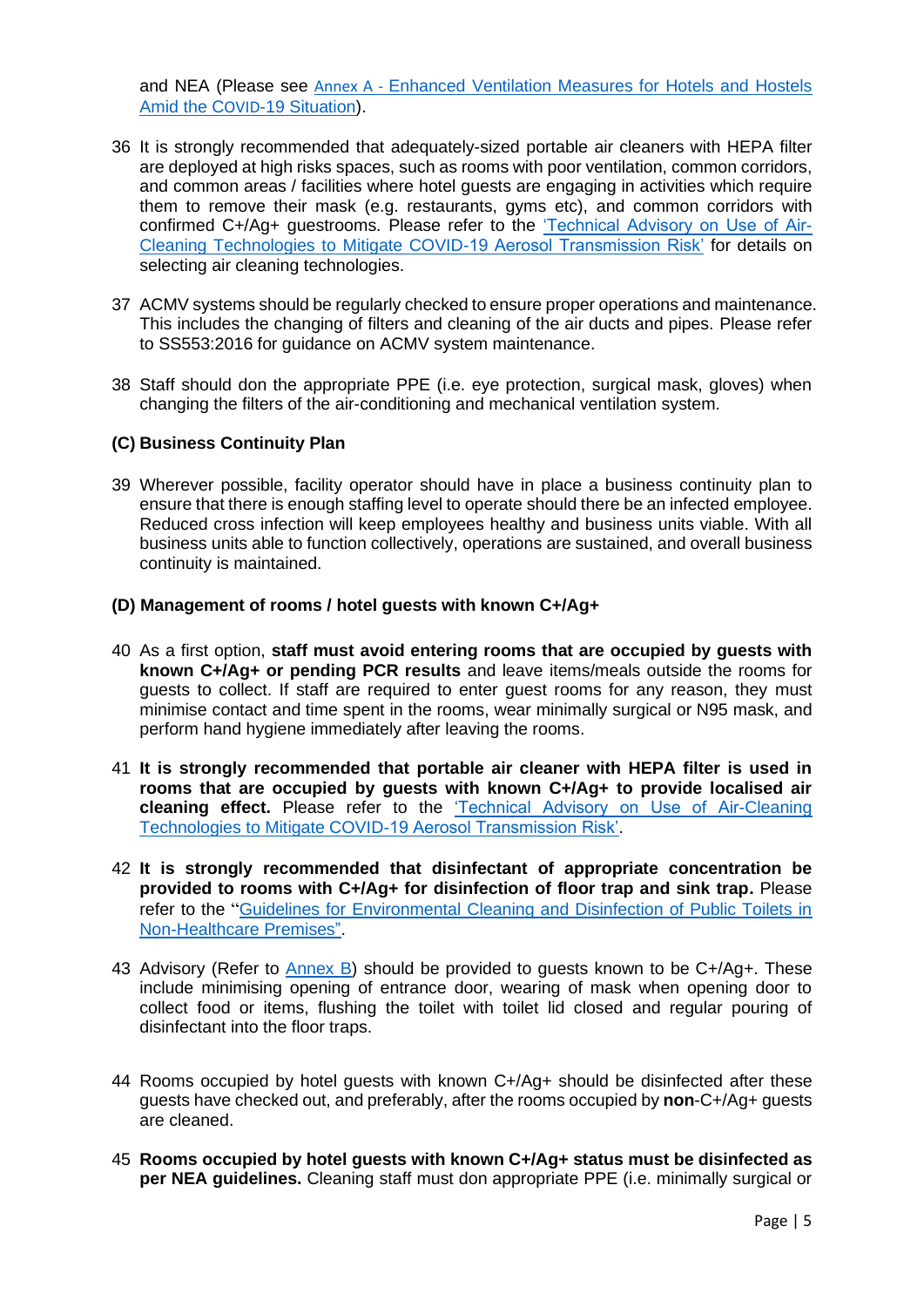and NEA (Please see Annex A - [Enhanced Ventilation Measures for Hotels and Hostels](#page-6-0)  Amid the COVID[-19 Situation\)](#page-6-0).

- 36 It is strongly recommended that adequately-sized portable air cleaners with HEPA filter are deployed at high risks spaces, such as rooms with poor ventilation, common corridors, and common areas / facilities where hotel guests are engaging in activities which require them to remove their mask (e.g. restaurants, gyms etc), and common corridors with confirmed C+/Ag+ guestrooms. Please refer to the ['Technical Advisory on Use of Air-](https://www.nea.gov.sg/our-services/public-cleanliness/environmental-cleaning-guidelines/guidelines/guidance-note-on-use-of-air-cleaning-technologies-to-mitigate-covid-19-aerosol-transmission-risk)[Cleaning Technologies to Mitigate COVID-19 Aerosol Transmission Risk'](https://www.nea.gov.sg/our-services/public-cleanliness/environmental-cleaning-guidelines/guidelines/guidance-note-on-use-of-air-cleaning-technologies-to-mitigate-covid-19-aerosol-transmission-risk) for details on selecting air cleaning technologies.
- 37 ACMV systems should be regularly checked to ensure proper operations and maintenance. This includes the changing of filters and cleaning of the air ducts and pipes. Please refer to SS553:2016 for guidance on ACMV system maintenance.
- 38 Staff should don the appropriate PPE (i.e. eye protection, surgical mask, gloves) when changing the filters of the air-conditioning and mechanical ventilation system.

## **(C) Business Continuity Plan**

39 Wherever possible, facility operator should have in place a business continuity plan to ensure that there is enough staffing level to operate should there be an infected employee. Reduced cross infection will keep employees healthy and business units viable. With all business units able to function collectively, operations are sustained, and overall business continuity is maintained.

## <span id="page-4-0"></span>**(D) Management of rooms / hotel guests with known C+/Ag+**

- 40 As a first option, **staff must avoid entering rooms that are occupied by guests with known C+/Ag+ or pending PCR results** and leave items/meals outside the rooms for guests to collect. If staff are required to enter guest rooms for any reason, they must minimise contact and time spent in the rooms, wear minimally surgical or N95 mask, and perform hand hygiene immediately after leaving the rooms.
- 41 **It is strongly recommended that portable air cleaner with HEPA filter is used in rooms that are occupied by guests with known C+/Ag+ to provide localised air cleaning effect.** Please refer to the ['Technical Advisory on Use of Air-Cleaning](https://www.nea.gov.sg/our-services/public-cleanliness/environmental-cleaning-guidelines/guidelines/guidance-note-on-use-of-air-cleaning-technologies-to-mitigate-covid-19-aerosol-transmission-risk)  [Technologies to Mitigate COVID-19 Aerosol Transmission Risk'.](https://www.nea.gov.sg/our-services/public-cleanliness/environmental-cleaning-guidelines/guidelines/guidance-note-on-use-of-air-cleaning-technologies-to-mitigate-covid-19-aerosol-transmission-risk)
- 42 **It is strongly recommended that disinfectant of appropriate concentration be provided to rooms with C+/Ag+ for disinfection of floor trap and sink trap.** Please refer to the "[Guidelines for Environmental Cleaning and Disinfection of Public Toilets in](https://www.nea.gov.sg/our-services/public-cleanliness/environmental-cleaning-guidelines/guidelines/guidelines-for-in-house-cleaning-and-disinfection-of-areas-exposed-to-covid-19-cases-in-non-healthcare-premises)  [Non-Healthcare Premises".](https://www.nea.gov.sg/our-services/public-cleanliness/environmental-cleaning-guidelines/guidelines/guidelines-for-in-house-cleaning-and-disinfection-of-areas-exposed-to-covid-19-cases-in-non-healthcare-premises)
- 43 Advisory (Refer to [Annex B\)](#page-10-0) should be provided to guests known to be C+/Ag+. These include minimising opening of entrance door, wearing of mask when opening door to collect food or items, flushing the toilet with toilet lid closed and regular pouring of disinfectant into the floor traps.
- 44 Rooms occupied by hotel guests with known C+/Ag+ should be disinfected after these guests have checked out, and preferably, after the rooms occupied by **non**-C+/Ag+ guests are cleaned.
- 45 **Rooms occupied by hotel guests with known C+/Ag+ status must be disinfected as per NEA guidelines.** Cleaning staff must don appropriate PPE (i.e. minimally surgical or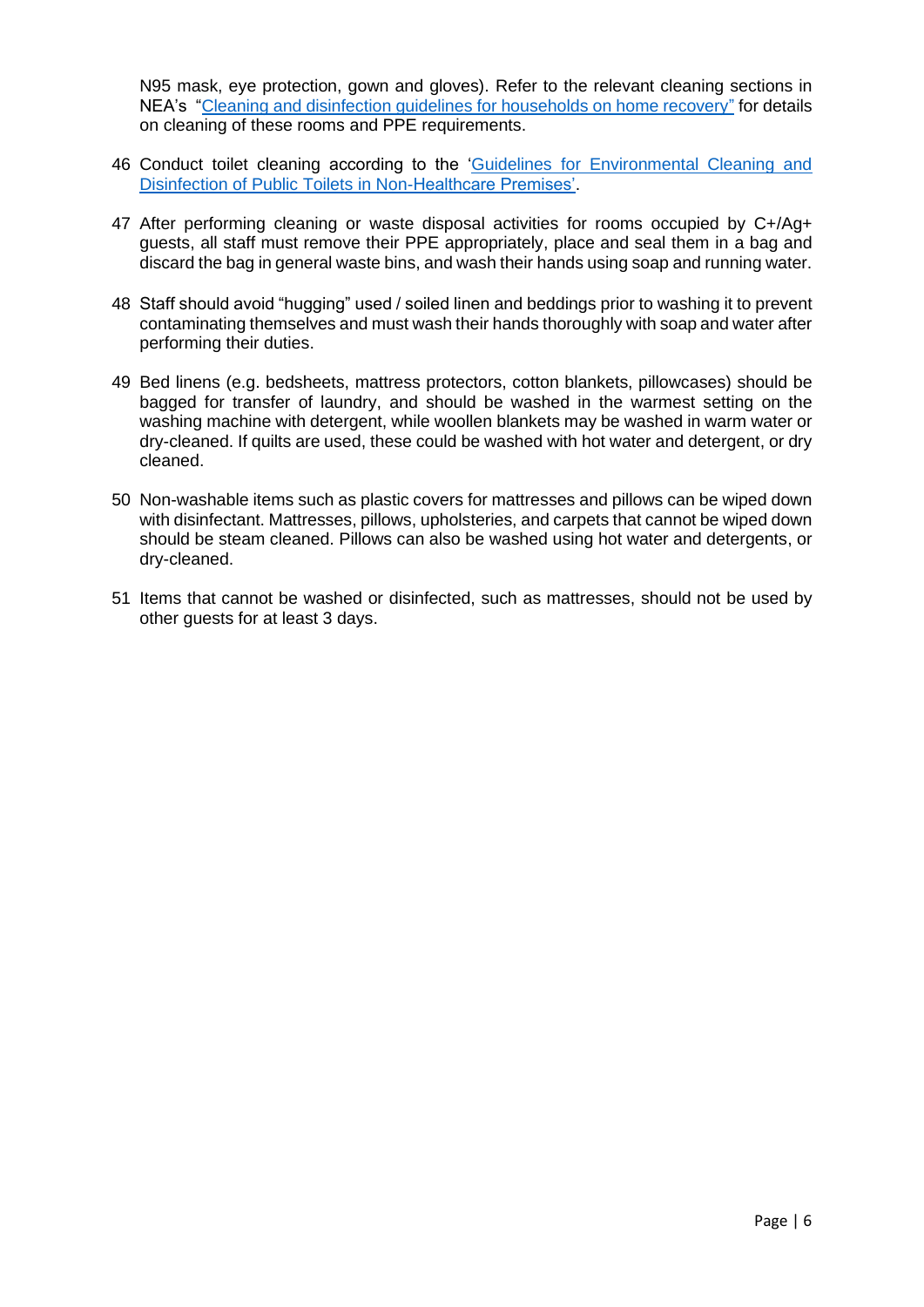N95 mask, eye protection, gown and gloves). Refer to the relevant cleaning sections in NEA's ["Cleaning and disinfection guidelines for households on home recovery"](https://www.nea.gov.sg/our-services/public-cleanliness/environmental-cleaning-guidelines/guidelines/cleaning-and-disinfection-guidelines-for-households-on-home-recovery) for details on cleaning of these rooms and PPE requirements.

- 46 Conduct toilet cleaning according to the 'Guidelines [for Environmental Cleaning and](https://www.nea.gov.sg/our-services/public-cleanliness/environmental-cleaning-guidelines/guidelines/guidelines-for-in-house-cleaning-and-disinfection-of-areas-exposed-to-covid-19-cases-in-non-healthcare-premises)  [Disinfection of Public Toilets in Non-Healthcare Premises'.](https://www.nea.gov.sg/our-services/public-cleanliness/environmental-cleaning-guidelines/guidelines/guidelines-for-in-house-cleaning-and-disinfection-of-areas-exposed-to-covid-19-cases-in-non-healthcare-premises)
- 47 After performing cleaning or waste disposal activities for rooms occupied by C+/Ag+ guests, all staff must remove their PPE appropriately, place and seal them in a bag and discard the bag in general waste bins, and wash their hands using soap and running water.
- 48 Staff should avoid "hugging" used / soiled linen and beddings prior to washing it to prevent contaminating themselves and must wash their hands thoroughly with soap and water after performing their duties.
- 49 Bed linens (e.g. bedsheets, mattress protectors, cotton blankets, pillowcases) should be bagged for transfer of laundry, and should be washed in the warmest setting on the washing machine with detergent, while woollen blankets may be washed in warm water or dry-cleaned. If quilts are used, these could be washed with hot water and detergent, or dry cleaned.
- 50 Non-washable items such as plastic covers for mattresses and pillows can be wiped down with disinfectant. Mattresses, pillows, upholsteries, and carpets that cannot be wiped down should be steam cleaned. Pillows can also be washed using hot water and detergents, or dry-cleaned.
- 51 Items that cannot be washed or disinfected, such as mattresses, should not be used by other guests for at least 3 days.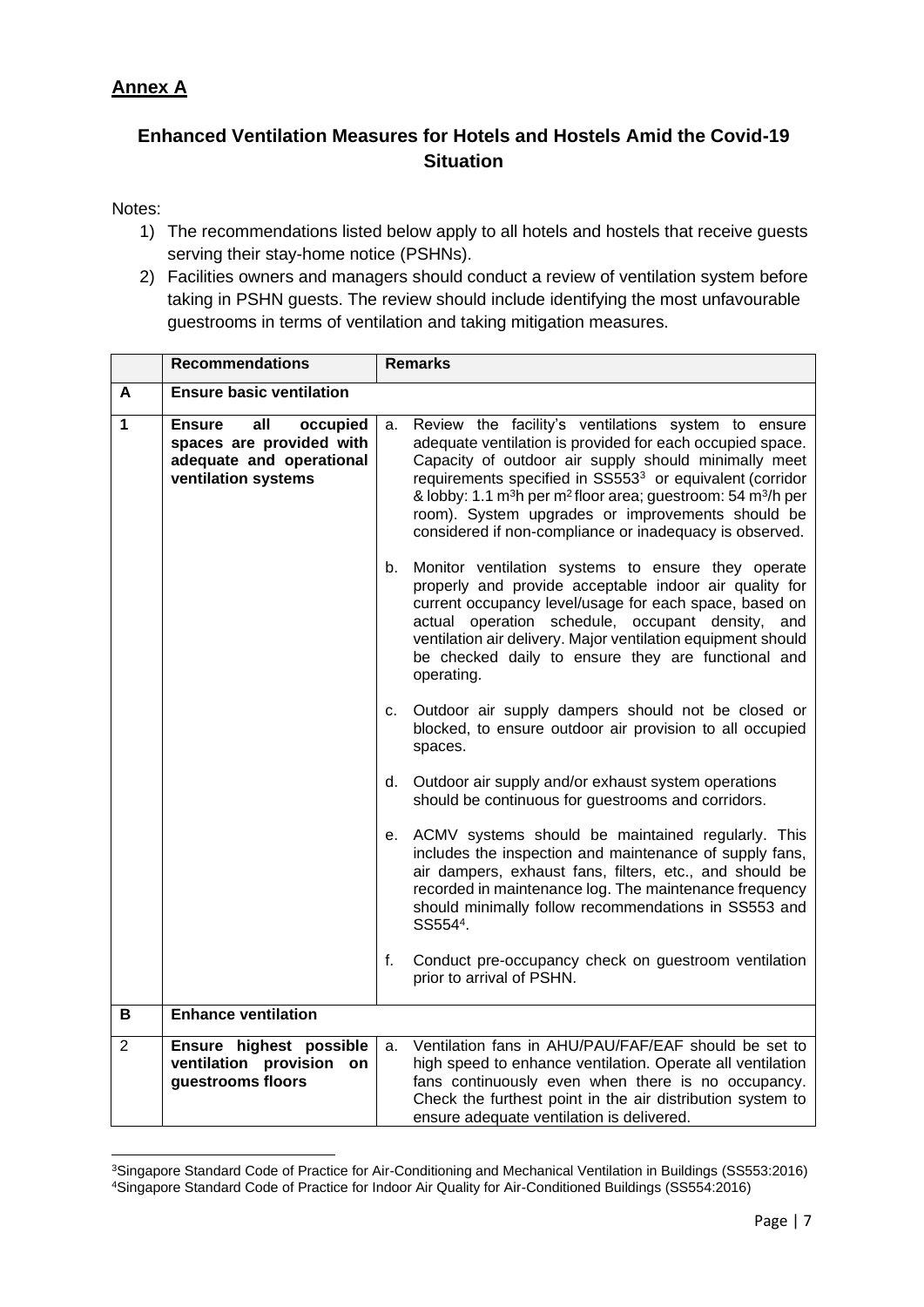# <span id="page-6-0"></span>**Annex A**

# **Enhanced Ventilation Measures for Hotels and Hostels Amid the Covid-19 Situation**

# Notes:

- 1) The recommendations listed below apply to all hotels and hostels that receive guests serving their stay-home notice (PSHNs).
- 2) Facilities owners and managers should conduct a review of ventilation system before taking in PSHN guests. The review should include identifying the most unfavourable guestrooms in terms of ventilation and taking mitigation measures.

|                | <b>Recommendations</b>                                                                                          | <b>Remarks</b> |                                                                                                                                                                                                                                                                                                                                                                                                                                                                     |
|----------------|-----------------------------------------------------------------------------------------------------------------|----------------|---------------------------------------------------------------------------------------------------------------------------------------------------------------------------------------------------------------------------------------------------------------------------------------------------------------------------------------------------------------------------------------------------------------------------------------------------------------------|
| A              | <b>Ensure basic ventilation</b>                                                                                 |                |                                                                                                                                                                                                                                                                                                                                                                                                                                                                     |
| 1              | all<br><b>Ensure</b><br>occupied<br>spaces are provided with<br>adequate and operational<br>ventilation systems | a.             | Review the facility's ventilations system to ensure<br>adequate ventilation is provided for each occupied space.<br>Capacity of outdoor air supply should minimally meet<br>requirements specified in SS553 <sup>3</sup> or equivalent (corridor<br>& lobby: 1.1 m <sup>3</sup> h per m <sup>2</sup> floor area; guestroom: 54 m <sup>3</sup> /h per<br>room). System upgrades or improvements should be<br>considered if non-compliance or inadequacy is observed. |
|                |                                                                                                                 | b.             | Monitor ventilation systems to ensure they operate<br>properly and provide acceptable indoor air quality for<br>current occupancy level/usage for each space, based on<br>actual operation schedule, occupant density, and<br>ventilation air delivery. Major ventilation equipment should<br>be checked daily to ensure they are functional and<br>operating.                                                                                                      |
|                |                                                                                                                 | C.             | Outdoor air supply dampers should not be closed or<br>blocked, to ensure outdoor air provision to all occupied<br>spaces.                                                                                                                                                                                                                                                                                                                                           |
|                |                                                                                                                 | d.             | Outdoor air supply and/or exhaust system operations<br>should be continuous for guestrooms and corridors.                                                                                                                                                                                                                                                                                                                                                           |
|                |                                                                                                                 | е.             | ACMV systems should be maintained regularly. This<br>includes the inspection and maintenance of supply fans,<br>air dampers, exhaust fans, filters, etc., and should be<br>recorded in maintenance log. The maintenance frequency<br>should minimally follow recommendations in SS553 and<br>SS5544.                                                                                                                                                                |
|                |                                                                                                                 | f.             | Conduct pre-occupancy check on guestroom ventilation<br>prior to arrival of PSHN.                                                                                                                                                                                                                                                                                                                                                                                   |
| В              | <b>Enhance ventilation</b>                                                                                      |                |                                                                                                                                                                                                                                                                                                                                                                                                                                                                     |
| $\overline{2}$ | Ensure highest possible<br>ventilation provision on<br>guestrooms floors                                        | a.             | Ventilation fans in AHU/PAU/FAF/EAF should be set to<br>high speed to enhance ventilation. Operate all ventilation<br>fans continuously even when there is no occupancy.<br>Check the furthest point in the air distribution system to                                                                                                                                                                                                                              |
|                |                                                                                                                 |                | ensure adequate ventilation is delivered.                                                                                                                                                                                                                                                                                                                                                                                                                           |

<sup>3</sup>Singapore Standard Code of Practice for Air-Conditioning and Mechanical Ventilation in Buildings (SS553:2016) 4Singapore Standard Code of Practice for Indoor Air Quality for Air-Conditioned Buildings (SS554:2016)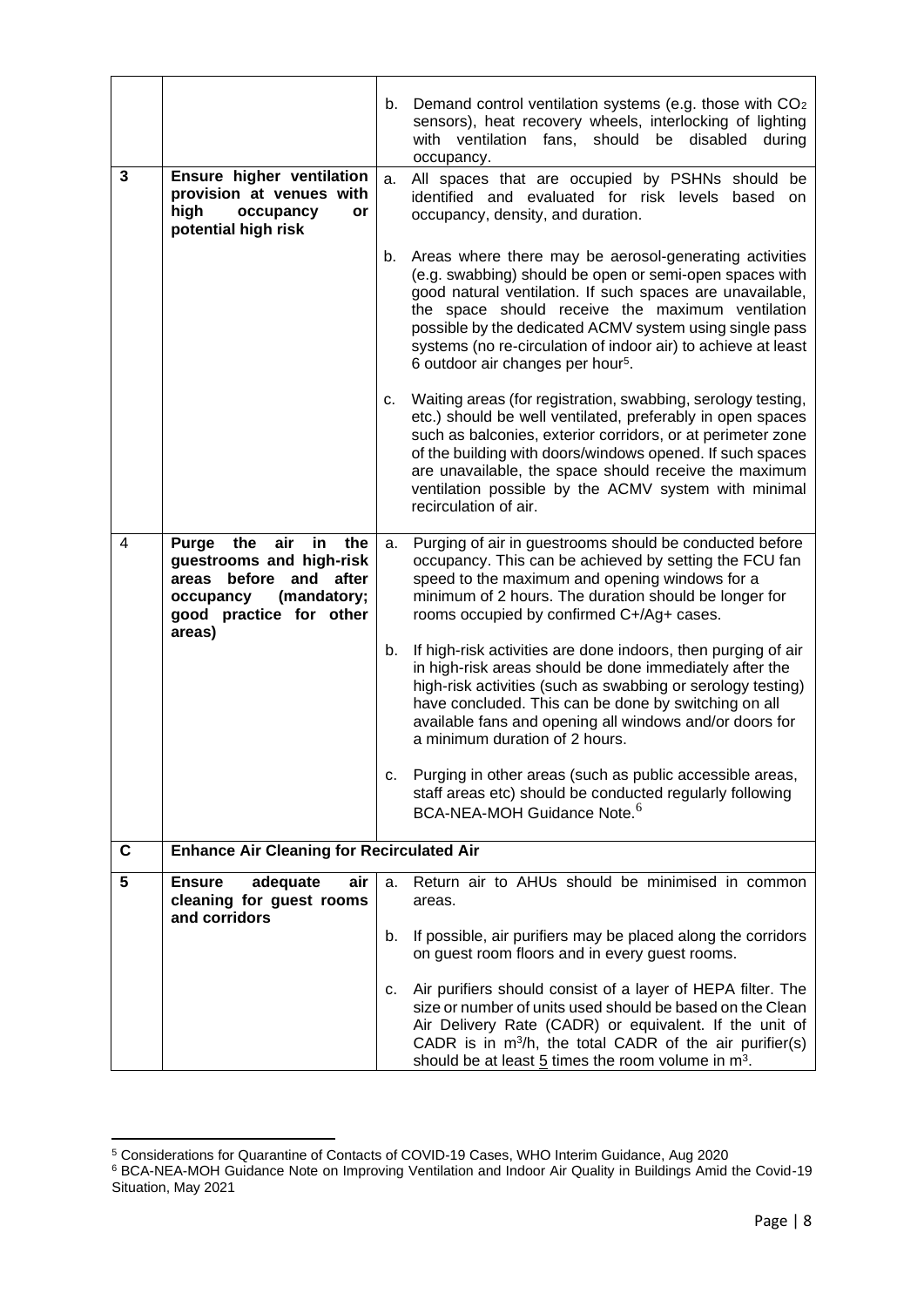|   |                                                                                                                                                                  | b. | Demand control ventilation systems (e.g. those with CO <sub>2</sub><br>sensors), heat recovery wheels, interlocking of lighting<br>with ventilation fans, should be disabled<br>during<br>occupancy.                                                                                                                                                                                                            |
|---|------------------------------------------------------------------------------------------------------------------------------------------------------------------|----|-----------------------------------------------------------------------------------------------------------------------------------------------------------------------------------------------------------------------------------------------------------------------------------------------------------------------------------------------------------------------------------------------------------------|
| 3 | Ensure higher ventilation<br>provision at venues with<br>high<br>occupancy<br>or<br>potential high risk                                                          | a. | All spaces that are occupied by PSHNs should be<br>identified and evaluated for risk levels based<br>on<br>occupancy, density, and duration.                                                                                                                                                                                                                                                                    |
|   |                                                                                                                                                                  | b. | Areas where there may be aerosol-generating activities<br>(e.g. swabbing) should be open or semi-open spaces with<br>good natural ventilation. If such spaces are unavailable,<br>the space should receive the maximum ventilation<br>possible by the dedicated ACMV system using single pass<br>systems (no re-circulation of indoor air) to achieve at least<br>6 outdoor air changes per hour <sup>5</sup> . |
|   |                                                                                                                                                                  | c. | Waiting areas (for registration, swabbing, serology testing,<br>etc.) should be well ventilated, preferably in open spaces<br>such as balconies, exterior corridors, or at perimeter zone<br>of the building with doors/windows opened. If such spaces<br>are unavailable, the space should receive the maximum<br>ventilation possible by the ACMV system with minimal<br>recirculation of air.                |
| 4 | Purge<br>the<br>air<br>in<br>the<br>guestrooms and high-risk<br>before<br>areas<br>and<br>after<br>(mandatory;<br>occupancy<br>good practice for other<br>areas) | а. | Purging of air in guestrooms should be conducted before<br>occupancy. This can be achieved by setting the FCU fan<br>speed to the maximum and opening windows for a<br>minimum of 2 hours. The duration should be longer for<br>rooms occupied by confirmed C+/Ag+ cases.                                                                                                                                       |
|   |                                                                                                                                                                  | b. | If high-risk activities are done indoors, then purging of air<br>in high-risk areas should be done immediately after the<br>high-risk activities (such as swabbing or serology testing)<br>have concluded. This can be done by switching on all<br>available fans and opening all windows and/or doors for<br>a minimum duration of 2 hours.                                                                    |
|   |                                                                                                                                                                  | С. | Purging in other areas (such as public accessible areas,<br>staff areas etc) should be conducted regularly following<br>BCA-NEA-MOH Guidance Note. <sup>6</sup>                                                                                                                                                                                                                                                 |
| C | <b>Enhance Air Cleaning for Recirculated Air</b>                                                                                                                 |    |                                                                                                                                                                                                                                                                                                                                                                                                                 |
| 5 | adequate<br><b>Ensure</b><br>air<br>cleaning for guest rooms<br>and corridors                                                                                    | a. | Return air to AHUs should be minimised in common<br>areas.                                                                                                                                                                                                                                                                                                                                                      |
|   |                                                                                                                                                                  | b. | If possible, air purifiers may be placed along the corridors<br>on guest room floors and in every guest rooms.                                                                                                                                                                                                                                                                                                  |
|   |                                                                                                                                                                  | С. | Air purifiers should consist of a layer of HEPA filter. The<br>size or number of units used should be based on the Clean<br>Air Delivery Rate (CADR) or equivalent. If the unit of<br>CADR is in m <sup>3</sup> /h, the total CADR of the air purifier(s)<br>should be at least $5$ times the room volume in $m3$ .                                                                                             |

<sup>5</sup> Considerations for Quarantine of Contacts of COVID-19 Cases, WHO Interim Guidance, Aug 2020

<sup>&</sup>lt;sup>6</sup> BCA-NEA-MOH Guidance Note on Improving Ventilation and Indoor Air Quality in Buildings Amid the Covid-19 Situation, May 2021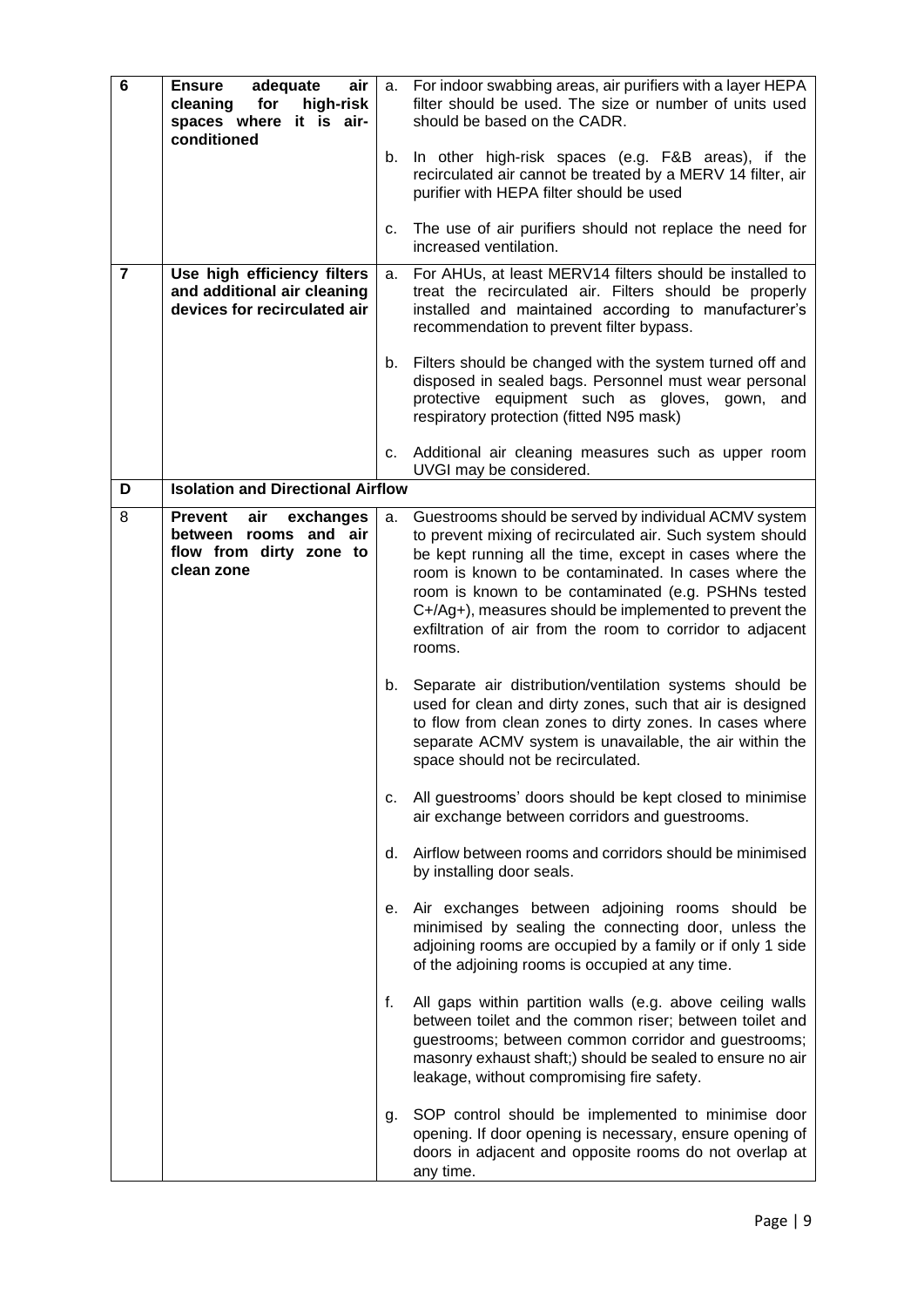| 6              | <b>Ensure</b><br>adequate<br>air<br>high-risk<br>cleaning<br>for<br>spaces where it is air-<br>conditioned | a. | For indoor swabbing areas, air purifiers with a layer HEPA<br>filter should be used. The size or number of units used<br>should be based on the CADR.                                                                                                                                                                                                                                                                         |
|----------------|------------------------------------------------------------------------------------------------------------|----|-------------------------------------------------------------------------------------------------------------------------------------------------------------------------------------------------------------------------------------------------------------------------------------------------------------------------------------------------------------------------------------------------------------------------------|
|                |                                                                                                            | b. | In other high-risk spaces (e.g. F&B areas), if the<br>recirculated air cannot be treated by a MERV 14 filter, air<br>purifier with HEPA filter should be used                                                                                                                                                                                                                                                                 |
|                |                                                                                                            | С. | The use of air purifiers should not replace the need for<br>increased ventilation.                                                                                                                                                                                                                                                                                                                                            |
| $\overline{7}$ | Use high efficiency filters<br>and additional air cleaning<br>devices for recirculated air                 | a. | For AHUs, at least MERV14 filters should be installed to<br>treat the recirculated air. Filters should be properly<br>installed and maintained according to manufacturer's<br>recommendation to prevent filter bypass.                                                                                                                                                                                                        |
|                |                                                                                                            | b. | Filters should be changed with the system turned off and<br>disposed in sealed bags. Personnel must wear personal<br>protective equipment such as gloves, gown, and<br>respiratory protection (fitted N95 mask)                                                                                                                                                                                                               |
|                |                                                                                                            | C. | Additional air cleaning measures such as upper room<br>UVGI may be considered.                                                                                                                                                                                                                                                                                                                                                |
| D              | <b>Isolation and Directional Airflow</b>                                                                   |    |                                                                                                                                                                                                                                                                                                                                                                                                                               |
| 8              | air<br><b>Prevent</b><br>exchanges<br>between rooms and air<br>flow from dirty zone to<br>clean zone       | а. | Guestrooms should be served by individual ACMV system<br>to prevent mixing of recirculated air. Such system should<br>be kept running all the time, except in cases where the<br>room is known to be contaminated. In cases where the<br>room is known to be contaminated (e.g. PSHNs tested<br>C+/Ag+), measures should be implemented to prevent the<br>exfiltration of air from the room to corridor to adjacent<br>rooms. |
|                |                                                                                                            |    | b. Separate air distribution/ventilation systems should be<br>used for clean and dirty zones, such that air is designed<br>to flow from clean zones to dirty zones. In cases where<br>separate ACMV system is unavailable, the air within the<br>space should not be recirculated.                                                                                                                                            |
|                |                                                                                                            | C. | All guestrooms' doors should be kept closed to minimise<br>air exchange between corridors and guestrooms.                                                                                                                                                                                                                                                                                                                     |
|                |                                                                                                            | d. | Airflow between rooms and corridors should be minimised<br>by installing door seals.                                                                                                                                                                                                                                                                                                                                          |
|                |                                                                                                            | е. | Air exchanges between adjoining rooms should be<br>minimised by sealing the connecting door, unless the<br>adjoining rooms are occupied by a family or if only 1 side<br>of the adjoining rooms is occupied at any time.                                                                                                                                                                                                      |
|                |                                                                                                            | f. | All gaps within partition walls (e.g. above ceiling walls<br>between toilet and the common riser; between toilet and<br>guestrooms; between common corridor and guestrooms;<br>masonry exhaust shaft;) should be sealed to ensure no air<br>leakage, without compromising fire safety.                                                                                                                                        |
|                |                                                                                                            | g. | SOP control should be implemented to minimise door<br>opening. If door opening is necessary, ensure opening of<br>doors in adjacent and opposite rooms do not overlap at<br>any time.                                                                                                                                                                                                                                         |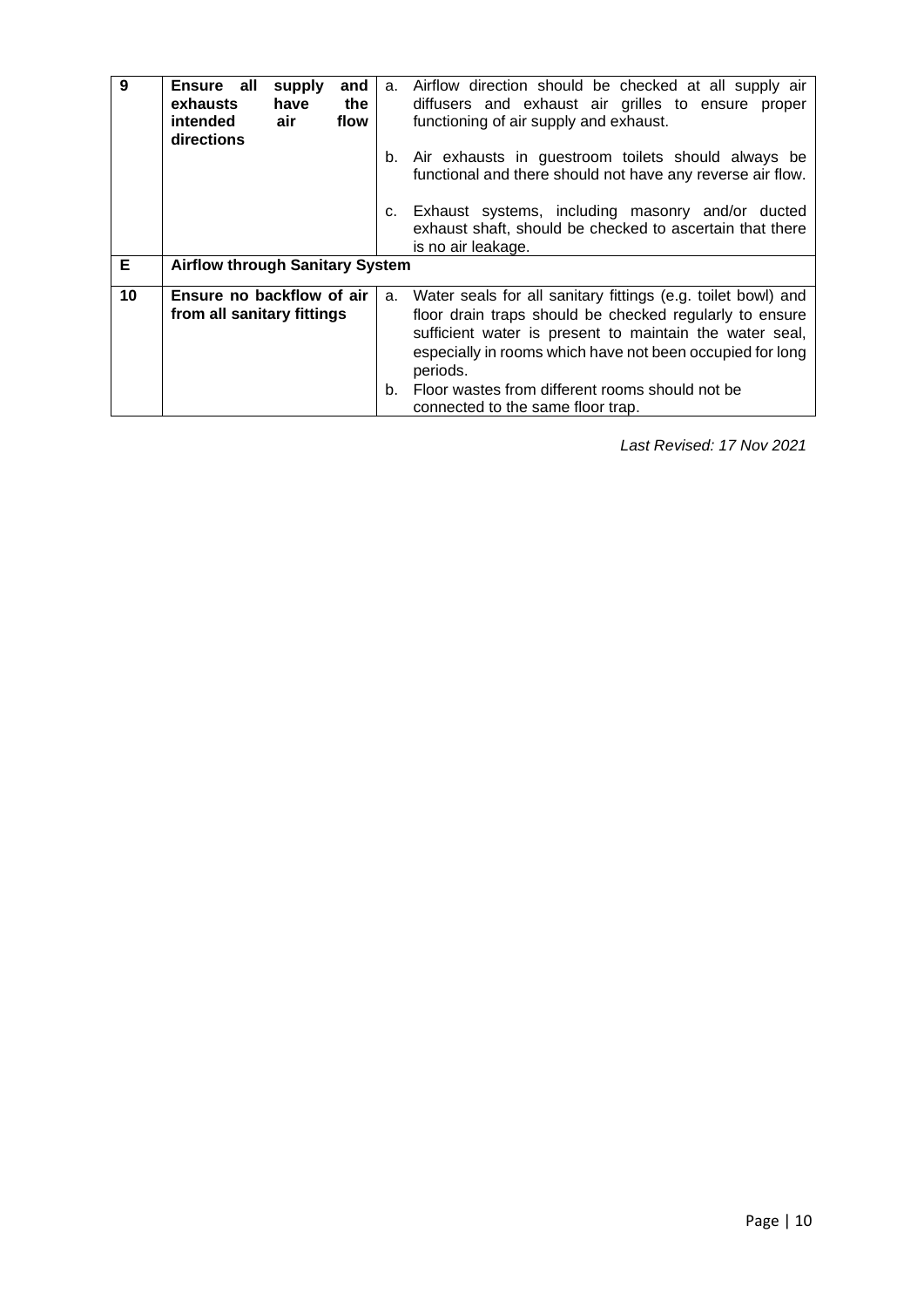| 9  | Ensure all<br>supply<br>and<br>exhausts<br>have<br>the<br>air<br>intended<br>flow<br>directions | a. | Airflow direction should be checked at all supply air<br>diffusers and exhaust air grilles to ensure proper<br>functioning of air supply and exhaust.                                                                                                       |
|----|-------------------------------------------------------------------------------------------------|----|-------------------------------------------------------------------------------------------------------------------------------------------------------------------------------------------------------------------------------------------------------------|
|    |                                                                                                 |    | b. Air exhausts in guestroom toilets should always be<br>functional and there should not have any reverse air flow.                                                                                                                                         |
|    |                                                                                                 | C. | Exhaust systems, including masonry and/or ducted<br>exhaust shaft, should be checked to ascertain that there<br>is no air leakage.                                                                                                                          |
| Е  | <b>Airflow through Sanitary System</b>                                                          |    |                                                                                                                                                                                                                                                             |
| 10 | Ensure no backflow of air<br>from all sanitary fittings                                         | a. | Water seals for all sanitary fittings (e.g. toilet bowl) and<br>floor drain traps should be checked regularly to ensure<br>sufficient water is present to maintain the water seal,<br>especially in rooms which have not been occupied for long<br>periods. |
|    |                                                                                                 | b. | Floor wastes from different rooms should not be<br>connected to the same floor trap.                                                                                                                                                                        |

 *Last Revised: 17 Nov 2021*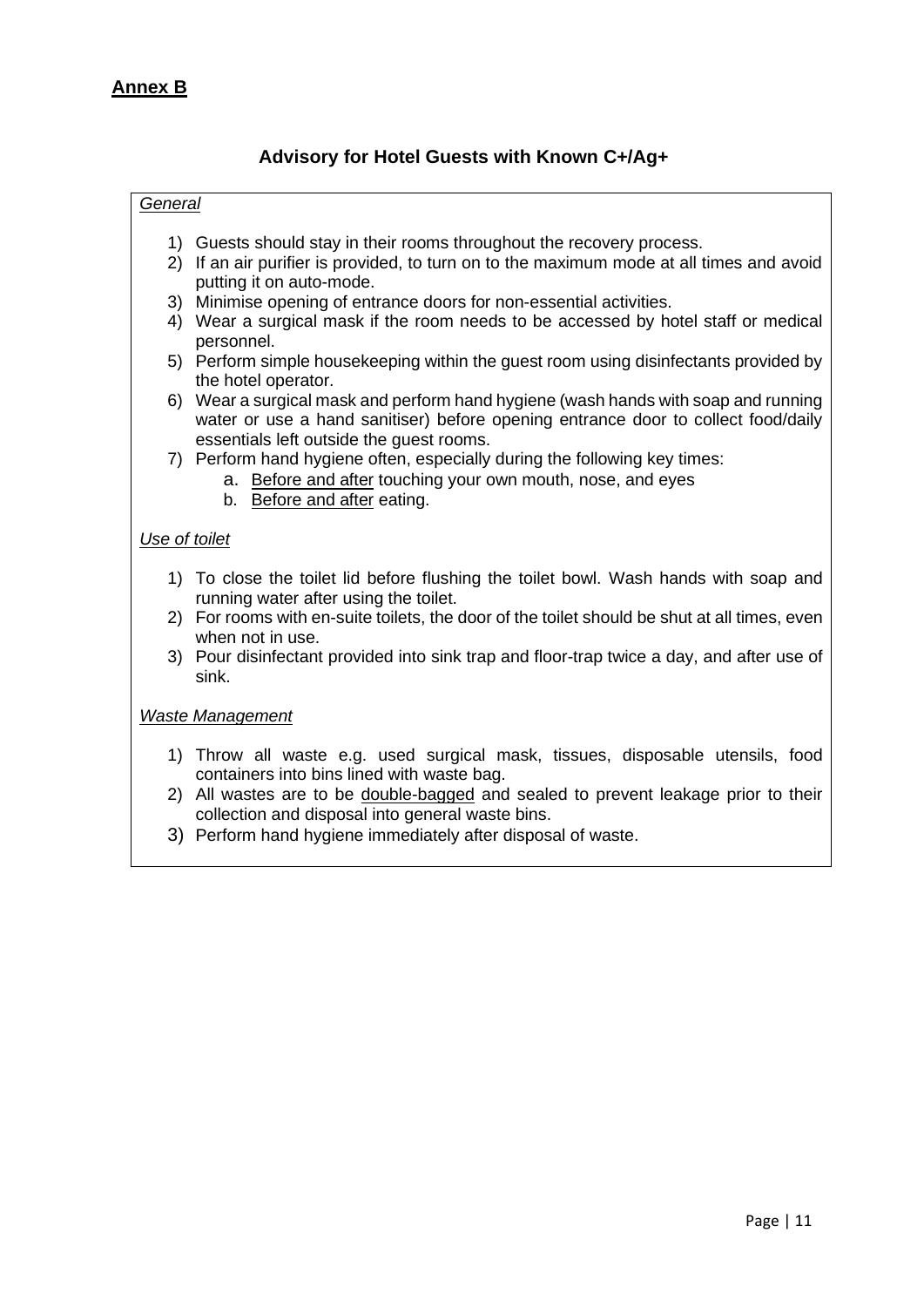# **Advisory for Hotel Guests with Known C+/Ag+**

#### <span id="page-10-0"></span>*General*

- 1) Guests should stay in their rooms throughout the recovery process.
- 2) If an air purifier is provided, to turn on to the maximum mode at all times and avoid putting it on auto-mode.
- 3) Minimise opening of entrance doors for non-essential activities.
- 4) Wear a surgical mask if the room needs to be accessed by hotel staff or medical personnel.
- 5) Perform simple housekeeping within the guest room using disinfectants provided by the hotel operator.
- 6) Wear a surgical mask and perform hand hygiene (wash hands with soap and running water or use a hand sanitiser) before opening entrance door to collect food/daily essentials left outside the guest rooms.
- 7) Perform hand hygiene often, especially during the following key times:
	- a. Before and after touching your own mouth, nose, and eyes
		- b. Before and after eating.

## *Use of toilet*

- 1) To close the toilet lid before flushing the toilet bowl. Wash hands with soap and running water after using the toilet.
- 2) For rooms with en-suite toilets, the door of the toilet should be shut at all times, even when not in use.
- 3) Pour disinfectant provided into sink trap and floor-trap twice a day, and after use of sink.

#### *Waste Management*

- 1) Throw all waste e.g. used surgical mask, tissues, disposable utensils, food containers into bins lined with waste bag.
- 2) All wastes are to be double-bagged and sealed to prevent leakage prior to their collection and disposal into general waste bins.
- 3) Perform hand hygiene immediately after disposal of waste.